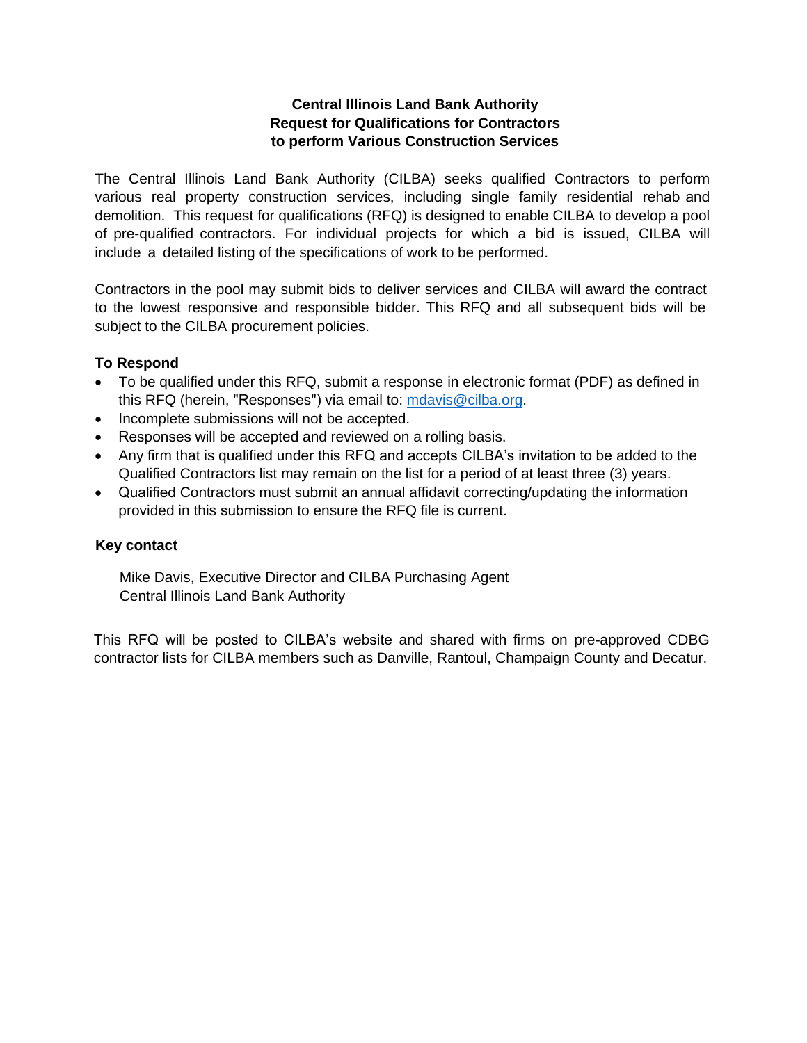### **Central Illinois Land Bank Authority Request for Qualifications for Contractors to perform Various Construction Services**

The Central Illinois Land Bank Authority (CILBA) seeks qualified Contractors to perform various real property construction services, including single family residential rehab and demolition. This request for qualifications (RFQ) is designed to enable CILBA to develop a pool of pre-qualified contractors. For individual projects for which a bid is issued, CILBA will include a detailed listing of the specifications of work to be performed.

Contractors in the pool may submit bids to deliver services and CILBA will award the contract to the lowest responsive and responsible bidder. This RFQ and all subsequent bids will be subject to the CILBA procurement policies.

#### **To Respond**

- To be qualified under this RFQ, submit a response in electronic format (PDF) as defined in this RFQ (herein, "Responses") via email to: [mdavis@cilba.org.](mailto:mdavis@cilba.org)
- Incomplete submissions will not be accepted.
- Responses will be accepted and reviewed on a rolling basis.
- Any firm that is qualified under this RFQ and accepts CILBA's invitation to be added to the Qualified Contractors list may remain on the list for a period of at least three (3) years.
- Qualified Contractors must submit an annual affidavit correcting/updating the information provided in this submission to ensure the RFQ file is current.

#### **Key contact**

Mike Davis, Executive Director and CILBA Purchasing Agent Central Illinois Land Bank Authority

This RFQ will be posted to CILBA's website and shared with firms on pre-approved CDBG contractor lists for CILBA members such as Danville, Rantoul, Champaign County and Decatur.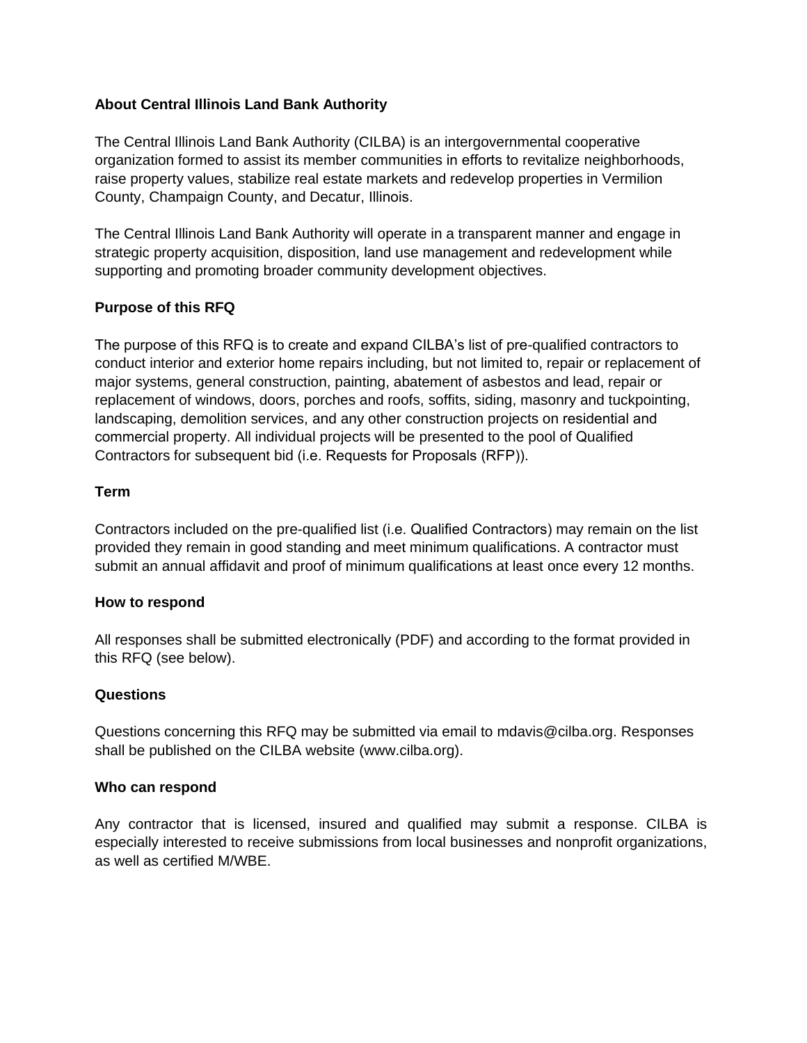### **About Central Illinois Land Bank Authority**

The Central Illinois Land Bank Authority (CILBA) is an intergovernmental cooperative organization formed to assist its member communities in efforts to revitalize neighborhoods, raise property values, stabilize real estate markets and redevelop properties in Vermilion County, Champaign County, and Decatur, Illinois.

The Central Illinois Land Bank Authority will operate in a transparent manner and engage in strategic property acquisition, disposition, land use management and redevelopment while supporting and promoting broader community development objectives.

#### **Purpose of this RFQ**

The purpose of this RFQ is to create and expand CILBA's list of pre-qualified contractors to conduct interior and exterior home repairs including, but not limited to, repair or replacement of major systems, general construction, painting, abatement of asbestos and lead, repair or replacement of windows, doors, porches and roofs, soffits, siding, masonry and tuckpointing, landscaping, demolition services, and any other construction projects on residential and commercial property. All individual projects will be presented to the pool of Qualified Contractors for subsequent bid (i.e. Requests for Proposals (RFP)).

#### **Term**

Contractors included on the pre-qualified list (i.e. Qualified Contractors) may remain on the list provided they remain in good standing and meet minimum qualifications. A contractor must submit an annual affidavit and proof of minimum qualifications at least once every 12 months.

#### **How to respond**

All responses shall be submitted electronically (PDF) and according to the format provided in this RFQ (see below).

#### **Questions**

Questions concerning this RFQ may be submitted via email to mdavis@cilba.org. Responses shall be published on the CILBA website (www.cilba.org).

#### **Who can respond**

Any contractor that is licensed, insured and qualified may submit a response. CILBA is especially interested to receive submissions from local businesses and nonprofit organizations, as well as certified M/WBE.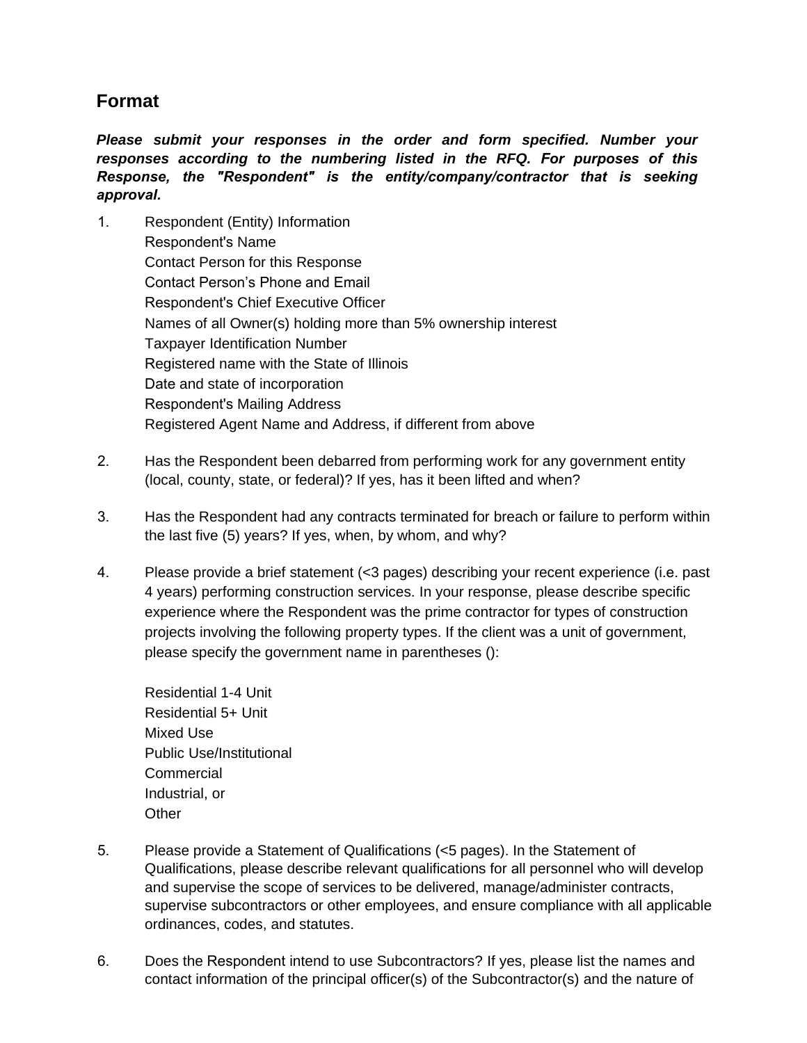## **Format**

*Please submit your responses in the order and form specified. Number your responses according to the numbering listed in the RFQ. For purposes of this Response, the "Respondent" is the entity/company/contractor that is seeking approval.*

- 1. Respondent (Entity) Information Respondent's Name Contact Person for this Response Contact Person's Phone and Email Respondent's Chief Executive Officer Names of all Owner(s) holding more than 5% ownership interest Taxpayer Identification Number Registered name with the State of Illinois Date and state of incorporation Respondent's Mailing Address Registered Agent Name and Address, if different from above
- 2. Has the Respondent been debarred from performing work for any government entity (local, county, state, or federal)? If yes, has it been lifted and when?
- 3. Has the Respondent had any contracts terminated for breach or failure to perform within the last five (5) years? If yes, when, by whom, and why?
- 4. Please provide a brief statement (<3 pages) describing your recent experience (i.e. past 4 years) performing construction services. In your response, please describe specific experience where the Respondent was the prime contractor for types of construction projects involving the following property types. If the client was a unit of government, please specify the government name in parentheses ():

Residential 1-4 Unit Residential 5+ Unit Mixed Use Public Use/Institutional **Commercial** Industrial, or **Other** 

- 5. Please provide a Statement of Qualifications (<5 pages). In the Statement of Qualifications, please describe relevant qualifications for all personnel who will develop and supervise the scope of services to be delivered, manage/administer contracts, supervise subcontractors or other employees, and ensure compliance with all applicable ordinances, codes, and statutes.
- 6. Does the Respondent intend to use Subcontractors? If yes, please list the names and contact information of the principal officer(s) of the Subcontractor(s) and the nature of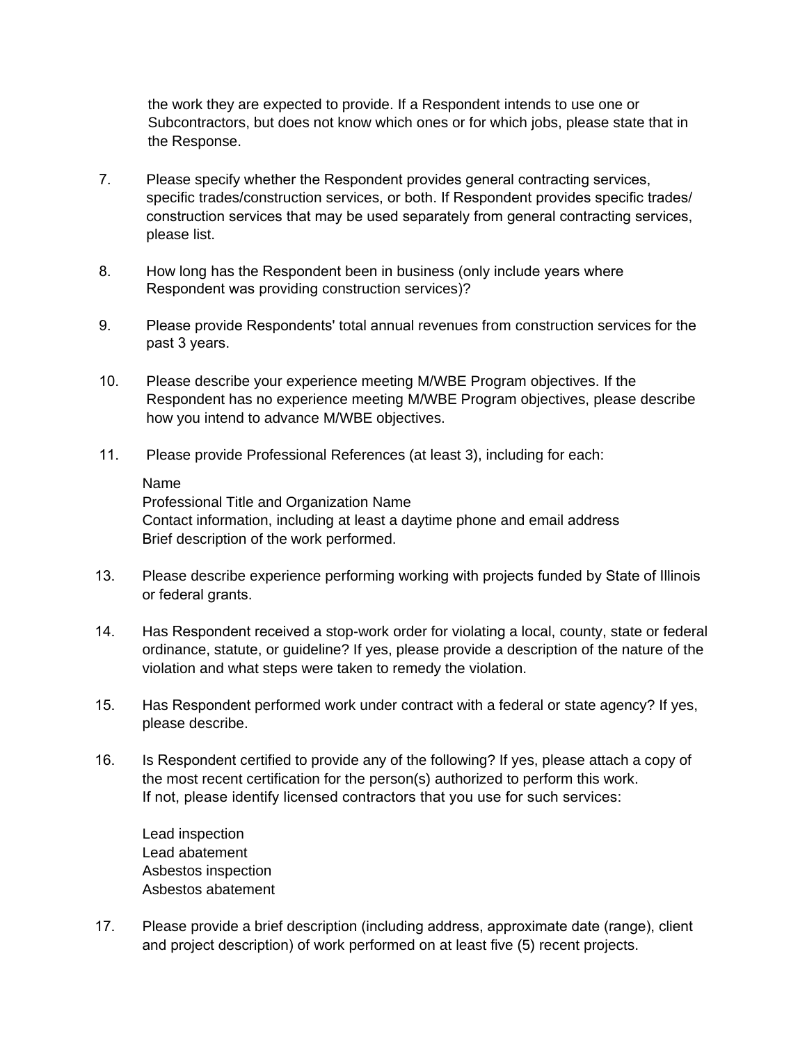the work they are expected to provide. If a Respondent intends to use one or Subcontractors, but does not know which ones or for which jobs, please state that in the Response.

- 7. Please specify whether the Respondent provides general contracting services, specific trades/construction services, or both. If Respondent provides specific trades/ construction services that may be used separately from general contracting services, please list.
- 8. How long has the Respondent been in business (only include years where Respondent was providing construction services)?
- 9. Please provide Respondents' total annual revenues from construction services for the past 3 years.
- 10. Please describe your experience meeting M/WBE Program objectives. If the Respondent has no experience meeting M/WBE Program objectives, please describe how you intend to advance M/WBE objectives.
- 11. Please provide Professional References (at least 3), including for each:

## Name

Professional Title and Organization Name Contact information, including at least a daytime phone and email address Brief description of the work performed.

- 13. Please describe experience performing working with projects funded by State of Illinois or federal grants.
- 14. Has Respondent received a stop-work order for violating a local, county, state or federal ordinance, statute, or guideline? If yes, please provide a description of the nature of the violation and what steps were taken to remedy the violation.
- 15. Has Respondent performed work under contract with a federal or state agency? If yes, please describe.
- 16. Is Respondent certified to provide any of the following? If yes, please attach a copy of the most recent certification for the person(s) authorized to perform this work. If not, please identify licensed contractors that you use for such services:

Lead inspection Lead abatement Asbestos inspection Asbestos abatement

17. Please provide a brief description (including address, approximate date (range), client and project description) of work performed on at least five (5) recent projects.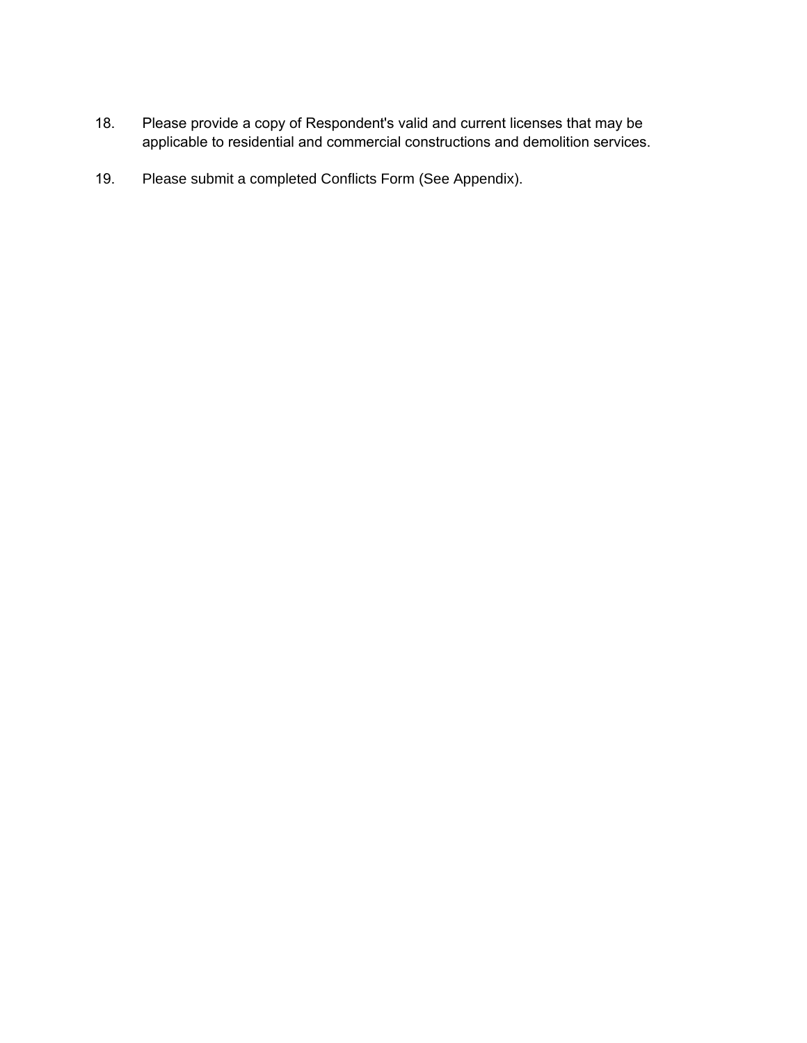- 18. Please provide a copy of Respondent's valid and current licenses that may be applicable to residential and commercial constructions and demolition services.
- 19. Please submit a completed Conflicts Form (See Appendix).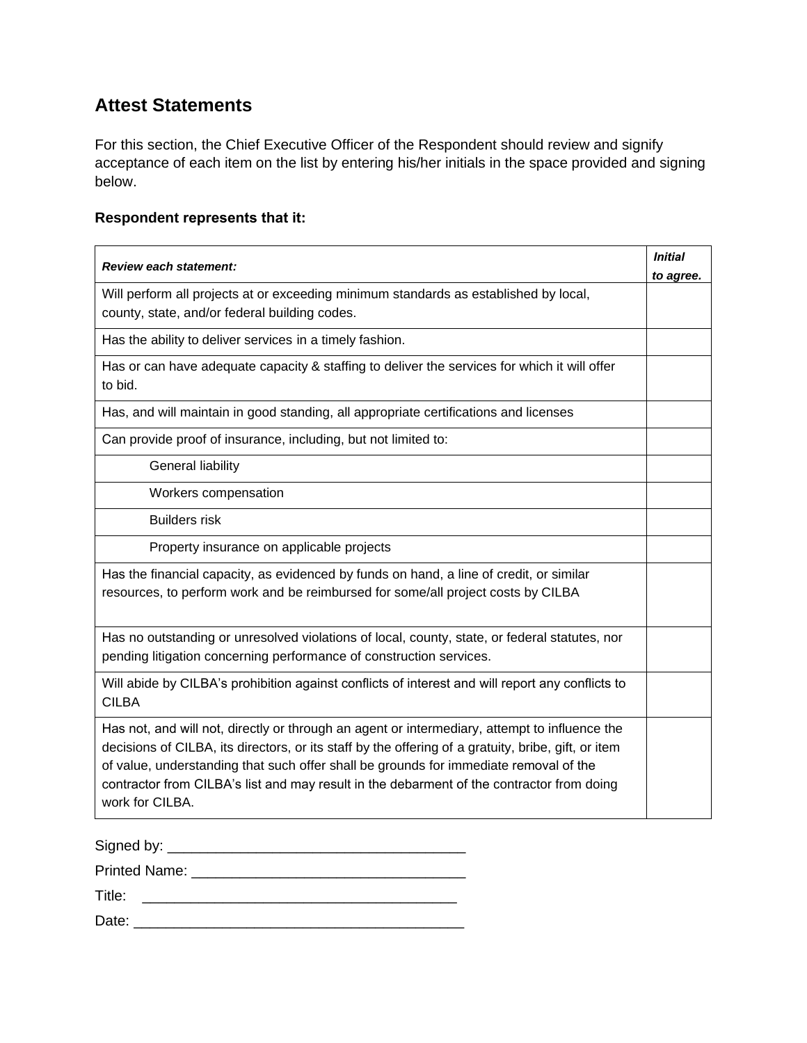## **Attest Statements**

For this section, the Chief Executive Officer of the Respondent should review and signify acceptance of each item on the list by entering his/her initials in the space provided and signing below.

#### **Respondent represents that it:**

| <b>Review each statement:</b>                                                                                                                                                                                                                                                                                                                                                                                 | <b>Initial</b><br>to agree. |
|---------------------------------------------------------------------------------------------------------------------------------------------------------------------------------------------------------------------------------------------------------------------------------------------------------------------------------------------------------------------------------------------------------------|-----------------------------|
| Will perform all projects at or exceeding minimum standards as established by local,<br>county, state, and/or federal building codes.                                                                                                                                                                                                                                                                         |                             |
| Has the ability to deliver services in a timely fashion.                                                                                                                                                                                                                                                                                                                                                      |                             |
| Has or can have adequate capacity & staffing to deliver the services for which it will offer<br>to bid.                                                                                                                                                                                                                                                                                                       |                             |
| Has, and will maintain in good standing, all appropriate certifications and licenses                                                                                                                                                                                                                                                                                                                          |                             |
| Can provide proof of insurance, including, but not limited to:                                                                                                                                                                                                                                                                                                                                                |                             |
| General liability                                                                                                                                                                                                                                                                                                                                                                                             |                             |
| Workers compensation                                                                                                                                                                                                                                                                                                                                                                                          |                             |
| <b>Builders risk</b>                                                                                                                                                                                                                                                                                                                                                                                          |                             |
| Property insurance on applicable projects                                                                                                                                                                                                                                                                                                                                                                     |                             |
| Has the financial capacity, as evidenced by funds on hand, a line of credit, or similar<br>resources, to perform work and be reimbursed for some/all project costs by CILBA                                                                                                                                                                                                                                   |                             |
| Has no outstanding or unresolved violations of local, county, state, or federal statutes, nor<br>pending litigation concerning performance of construction services.                                                                                                                                                                                                                                          |                             |
| Will abide by CILBA's prohibition against conflicts of interest and will report any conflicts to<br><b>CILBA</b>                                                                                                                                                                                                                                                                                              |                             |
| Has not, and will not, directly or through an agent or intermediary, attempt to influence the<br>decisions of CILBA, its directors, or its staff by the offering of a gratuity, bribe, gift, or item<br>of value, understanding that such offer shall be grounds for immediate removal of the<br>contractor from CILBA's list and may result in the debarment of the contractor from doing<br>work for CILBA. |                             |

Signed by: \_\_\_\_\_\_\_\_\_\_\_\_\_\_\_\_\_\_\_\_\_\_\_\_\_\_\_\_\_\_\_\_\_\_\_\_\_

Printed Name: \_\_\_\_\_\_\_\_\_\_\_\_\_\_\_\_\_\_\_\_\_\_\_\_\_\_\_\_\_\_\_\_\_\_

Title: \_\_\_\_\_\_\_\_\_\_\_\_\_\_\_\_\_\_\_\_\_\_\_\_\_\_\_\_\_\_\_\_\_\_\_\_\_\_\_

Date: \_\_\_\_\_\_\_\_\_\_\_\_\_\_\_\_\_\_\_\_\_\_\_\_\_\_\_\_\_\_\_\_\_\_\_\_\_\_\_\_\_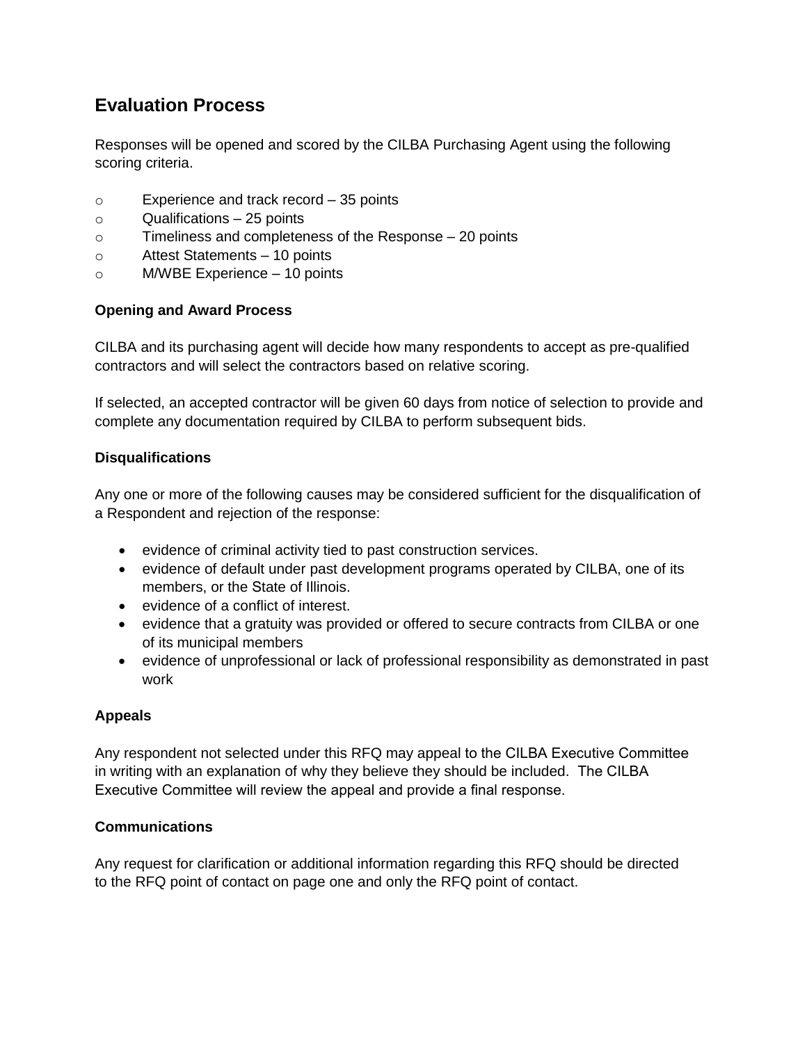# **Evaluation Process**

Responses will be opened and scored by the CILBA Purchasing Agent using the following scoring criteria.

- o Experience and track record 35 points
- o Qualifications 25 points
- o Timeliness and completeness of the Response 20 points
- o Attest Statements 10 points
- o M/WBE Experience 10 points

#### **Opening and Award Process**

CILBA and its purchasing agent will decide how many respondents to accept as pre-qualified contractors and will select the contractors based on relative scoring.

If selected, an accepted contractor will be given 60 days from notice of selection to provide and complete any documentation required by CILBA to perform subsequent bids.

### **Disqualifications**

Any one or more of the following causes may be considered sufficient for the disqualification of a Respondent and rejection of the response:

- evidence of criminal activity tied to past construction services.
- evidence of default under past development programs operated by CILBA, one of its members, or the State of Illinois.
- evidence of a conflict of interest.
- evidence that a gratuity was provided or offered to secure contracts from CILBA or one of its municipal members
- evidence of unprofessional or lack of professional responsibility as demonstrated in past work

## **Appeals**

Any respondent not selected under this RFQ may appeal to the CILBA Executive Committee in writing with an explanation of why they believe they should be included. The CILBA Executive Committee will review the appeal and provide a final response.

## **Communications**

Any request for clarification or additional information regarding this RFQ should be directed to the RFQ point of contact on page one and only the RFQ point of contact.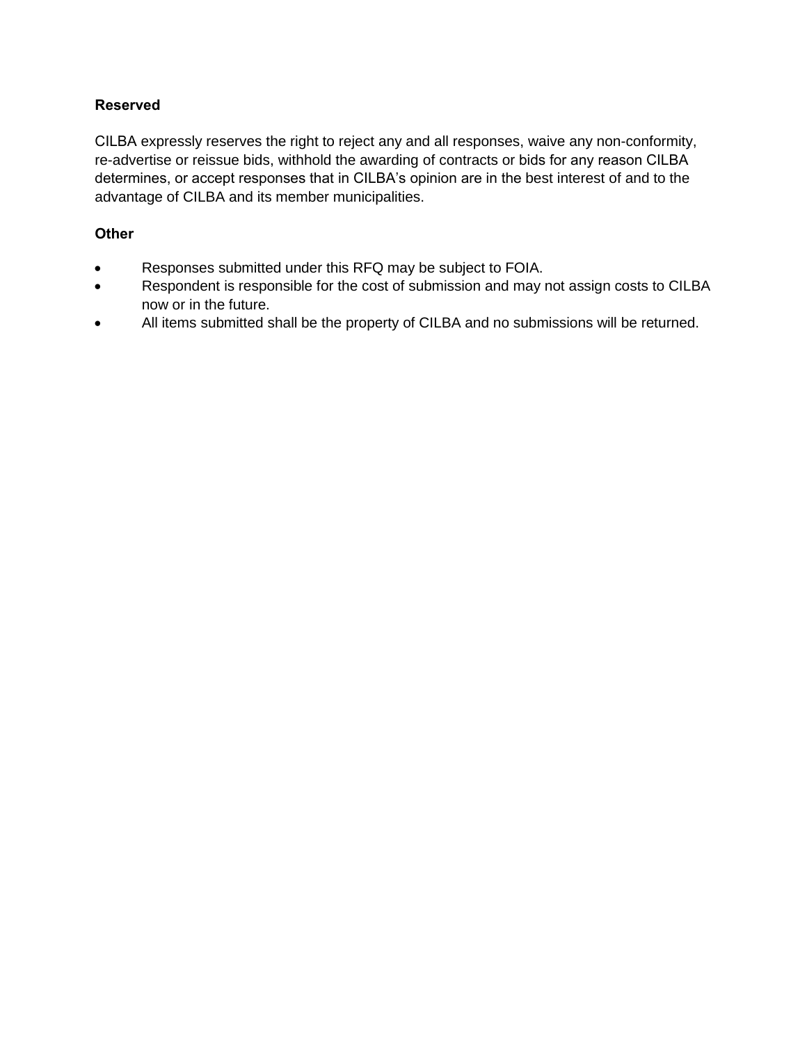### **Reserved**

CILBA expressly reserves the right to reject any and all responses, waive any non-conformity, re-advertise or reissue bids, withhold the awarding of contracts or bids for any reason CILBA determines, or accept responses that in CILBA's opinion are in the best interest of and to the advantage of CILBA and its member municipalities.

#### **Other**

- Responses submitted under this RFQ may be subject to FOIA.
- Respondent is responsible for the cost of submission and may not assign costs to CILBA now or in the future.
- All items submitted shall be the property of CILBA and no submissions will be returned.